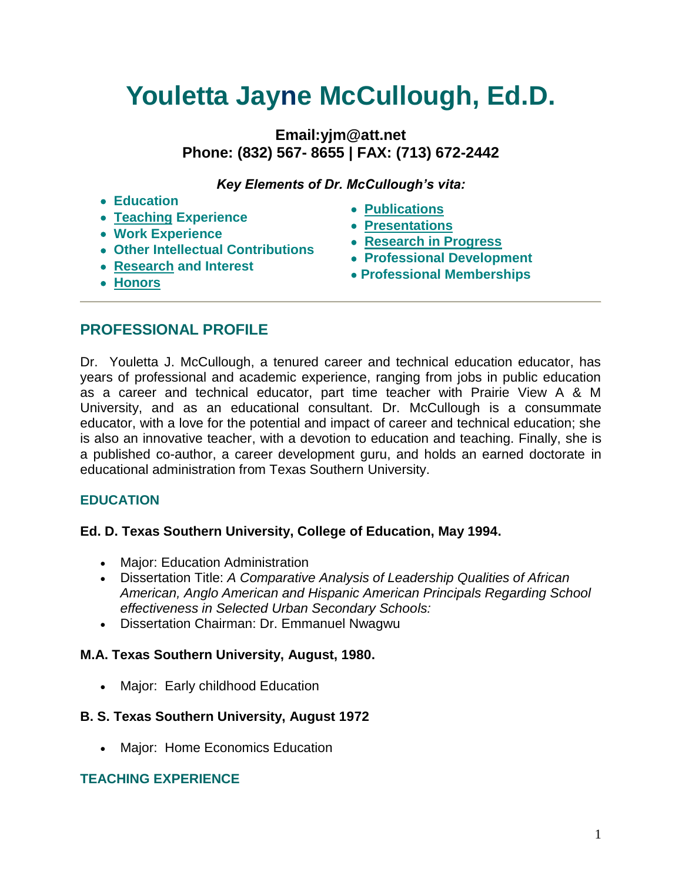# **Youletta Jayne McCullough, Ed.D.**

# **Email:yjm@att.net Phone: (832) 567- 8655 | FAX: (713) 672-2442**

*Key Elements of Dr. McCullough's vita:*

#### **Education**

- **Teaching Experience**
- **Work Experience**
- **Other Intellectual Contributions**
- **[Research](http://www.quintcareers.com/vita_sample_2.html#interests#interests) and Interest**
	-
- **[Publications](http://www.quintcareers.com/vita_sample_2.html#pubs#pubs)**
- **[Presentations](http://www.quintcareers.com/vita_sample_2.html#presentations#presentations)**
- **[Research in Progress](http://www.quintcareers.com/vita_sample_2.html#progress#progress)**
- **Professional Development**
- **Professional Memberships**

 **[Honors](http://www.quintcareers.com/vita_sample_2.html#honors#honors)**

# **PROFESSIONAL PROFILE**

Dr. Youletta J. McCullough, a tenured career and technical education educator, has years of professional and academic experience, ranging from jobs in public education as a career and technical educator, part time teacher with Prairie View A & M University, and as an educational consultant. Dr. McCullough is a consummate educator, with a love for the potential and impact of career and technical education; she is also an innovative teacher, with a devotion to education and teaching. Finally, she is a published co-author, a career development guru, and holds an earned doctorate in educational administration from Texas Southern University.

# **EDUCATION**

# **Ed. D. Texas Southern University, College of Education, May 1994.**

- Major: Education Administration
- Dissertation Title: *A Comparative Analysis of Leadership Qualities of African American, Anglo American and Hispanic American Principals Regarding School effectiveness in Selected Urban Secondary Schools:*
- Dissertation Chairman: Dr. Emmanuel Nwagwu

# **M.A. Texas Southern University, August, 1980.**

• Major: Early childhood Education

#### **B. S. Texas Southern University, August 1972**

Major: Home Economics Education

#### **TEACHING EXPERIENCE**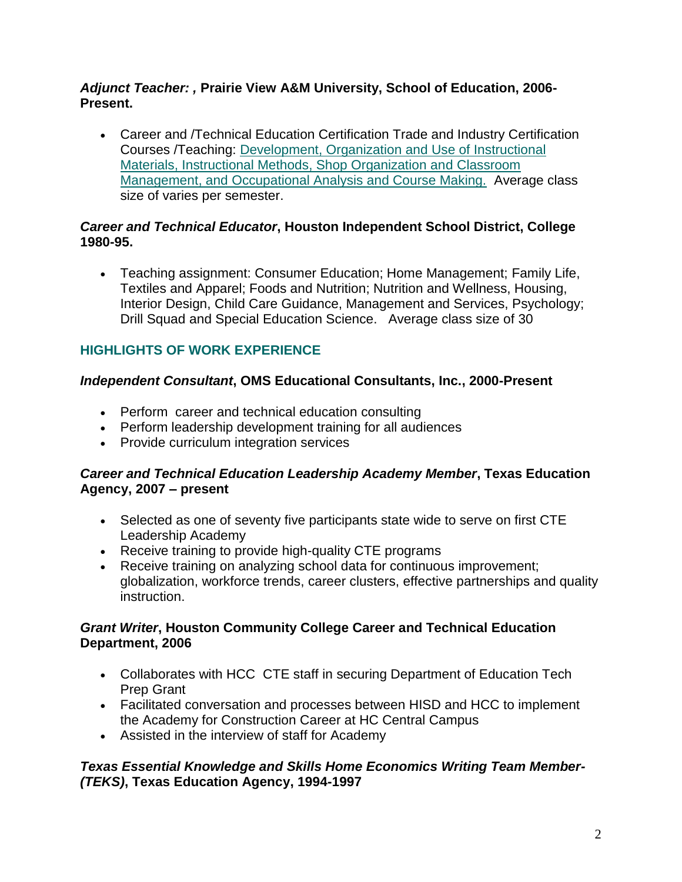#### *Adjunct Teacher: ,* **Prairie View A&M University, School of Education, 2006- Present.**

 Career and /Technical Education Certification Trade and Industry Certification Courses /Teaching: Development, Organization and Use of Instructional Materials, Instructional Methods, Shop Organization and Classroom Management, and Occupational Analysis and Course Making. Average class size of varies per semester.

#### *Career and Technical Educator***, Houston Independent School District, College 1980-95.**

 Teaching assignment: Consumer Education; Home Management; Family Life, Textiles and Apparel; Foods and Nutrition; Nutrition and Wellness, Housing, Interior Design, Child Care Guidance, Management and Services, Psychology; Drill Squad and Special Education Science. Average class size of 30

### **HIGHLIGHTS OF WORK EXPERIENCE**

#### *Independent Consultant***, OMS Educational Consultants, Inc., 2000-Present**

- Perform career and technical education consulting
- Perform leadership development training for all audiences
- Provide curriculum integration services

#### *Career and Technical Education Leadership Academy Member***, Texas Education Agency, 2007 – present**

- Selected as one of seventy five participants state wide to serve on first CTE Leadership Academy
- Receive training to provide high-quality CTE programs
- Receive training on analyzing school data for continuous improvement; globalization, workforce trends, career clusters, effective partnerships and quality instruction.

#### *Grant Writer***, Houston Community College Career and Technical Education Department, 2006**

- Collaborates with HCC CTE staff in securing Department of Education Tech Prep Grant
- Facilitated conversation and processes between HISD and HCC to implement the Academy for Construction Career at HC Central Campus
- Assisted in the interview of staff for Academy

#### *Texas Essential Knowledge and Skills Home Economics Writing Team Member- (TEKS)***, Texas Education Agency, 1994-1997**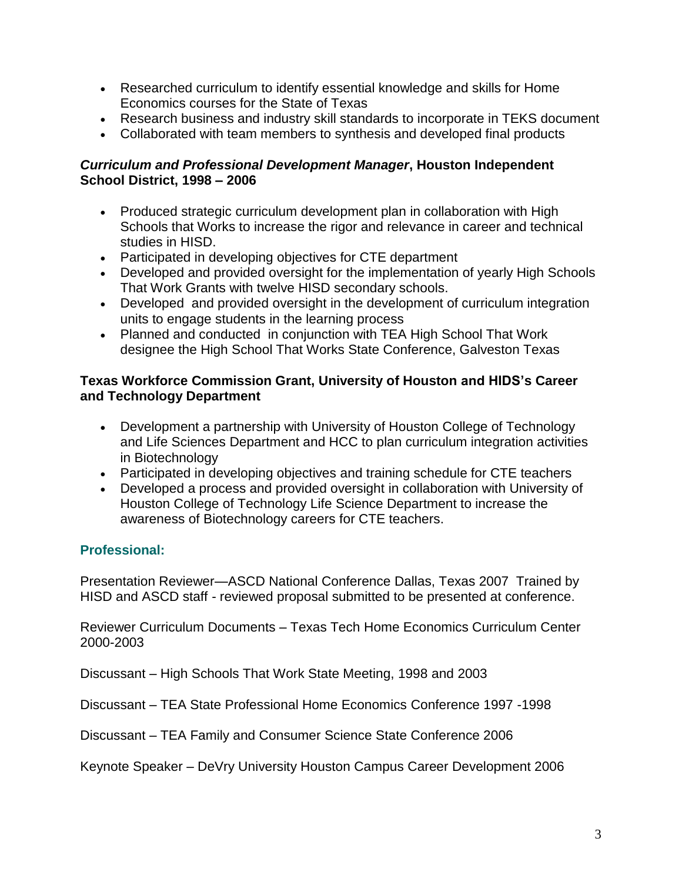- Researched curriculum to identify essential knowledge and skills for Home Economics courses for the State of Texas
- Research business and industry skill standards to incorporate in TEKS document
- Collaborated with team members to synthesis and developed final products

#### *Curriculum and Professional Development Manager***, Houston Independent School District, 1998 – 2006**

- Produced strategic curriculum development plan in collaboration with High Schools that Works to increase the rigor and relevance in career and technical studies in HISD.
- Participated in developing objectives for CTE department
- Developed and provided oversight for the implementation of yearly High Schools That Work Grants with twelve HISD secondary schools.
- Developed and provided oversight in the development of curriculum integration units to engage students in the learning process
- Planned and conducted in conjunction with TEA High School That Work designee the High School That Works State Conference, Galveston Texas

#### **Texas Workforce Commission Grant, University of Houston and HIDS's Career and Technology Department**

- Development a partnership with University of Houston College of Technology and Life Sciences Department and HCC to plan curriculum integration activities in Biotechnology
- Participated in developing objectives and training schedule for CTE teachers
- Developed a process and provided oversight in collaboration with University of Houston College of Technology Life Science Department to increase the awareness of Biotechnology careers for CTE teachers.

# **Professional:**

Presentation Reviewer—ASCD National Conference Dallas, Texas 2007 Trained by HISD and ASCD staff - reviewed proposal submitted to be presented at conference.

Reviewer Curriculum Documents – Texas Tech Home Economics Curriculum Center 2000-2003

Discussant – High Schools That Work State Meeting, 1998 and 2003

Discussant – TEA State Professional Home Economics Conference 1997 -1998

Discussant – TEA Family and Consumer Science State Conference 2006

Keynote Speaker – DeVry University Houston Campus Career Development 2006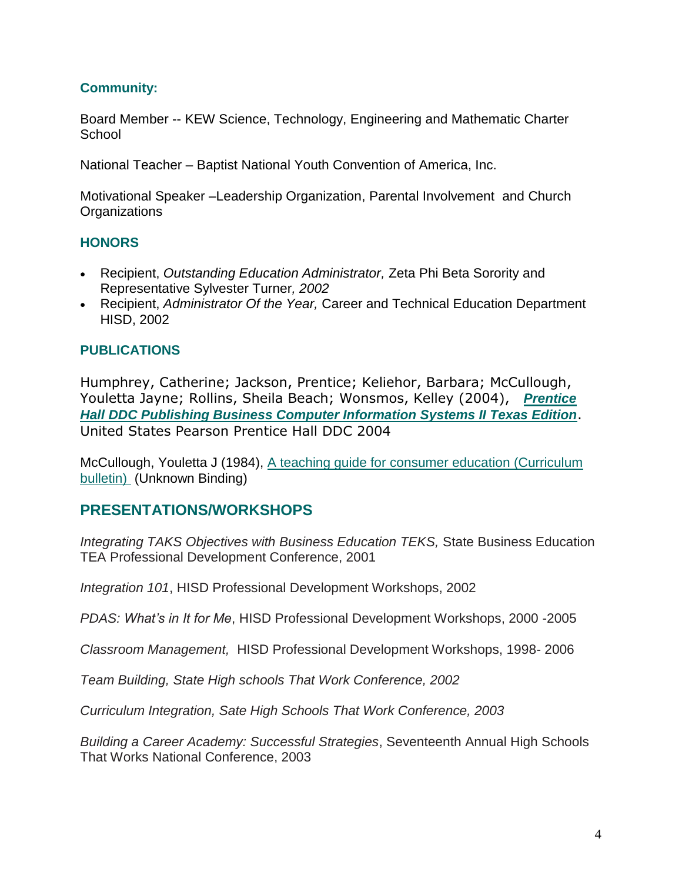#### **Community:**

Board Member -- KEW Science, Technology, Engineering and Mathematic Charter **School** 

National Teacher – Baptist National Youth Convention of America, Inc.

Motivational Speaker –Leadership Organization, Parental Involvement and Church **Organizations** 

#### **HONORS**

- Recipient, *Outstanding Education Administrator,* Zeta Phi Beta Sorority and Representative Sylvester Turner*, 2002*
- Recipient, *Administrator Of the Year,* Career and Technical Education Department HISD, 2002

#### **PUBLICATIONS**

Humphrey, Catherine; Jackson, Prentice; Keliehor, Barbara; McCullough, Youletta Jayne; Rollins, Sheila Beach; Wonsmos, Kelley (2004),*Prentice Hall DDC Publishing Business Computer Information Systems II Texas Edition*. United States Pearson Prentice Hall DDC 2004

McCullough, Youletta J (1984), [A teaching guide for consumer education \(Curriculum](http://www.amazon.com/teaching-consumer-education-Curriculum-bulletin/dp/B00070U9QS/ref=sr_1_1?ie=UTF8&s=books&qid=1214021635&sr=1-1)  [bulletin\)](http://www.amazon.com/teaching-consumer-education-Curriculum-bulletin/dp/B00070U9QS/ref=sr_1_1?ie=UTF8&s=books&qid=1214021635&sr=1-1) (Unknown Binding)

# **PRESENTATIONS/WORKSHOPS**

*Integrating TAKS Objectives with Business Education TEKS,* State Business Education TEA Professional Development Conference, 2001

*Integration 101*, HISD Professional Development Workshops, 2002

*PDAS: What's in It for Me*, HISD Professional Development Workshops, 2000 -2005

*Classroom Management,* HISD Professional Development Workshops, 1998- 2006

*Team Building, State High schools That Work Conference, 2002*

*Curriculum Integration, Sate High Schools That Work Conference, 2003*

*Building a Career Academy: Successful Strategies*, Seventeenth Annual High Schools That Works National Conference, 2003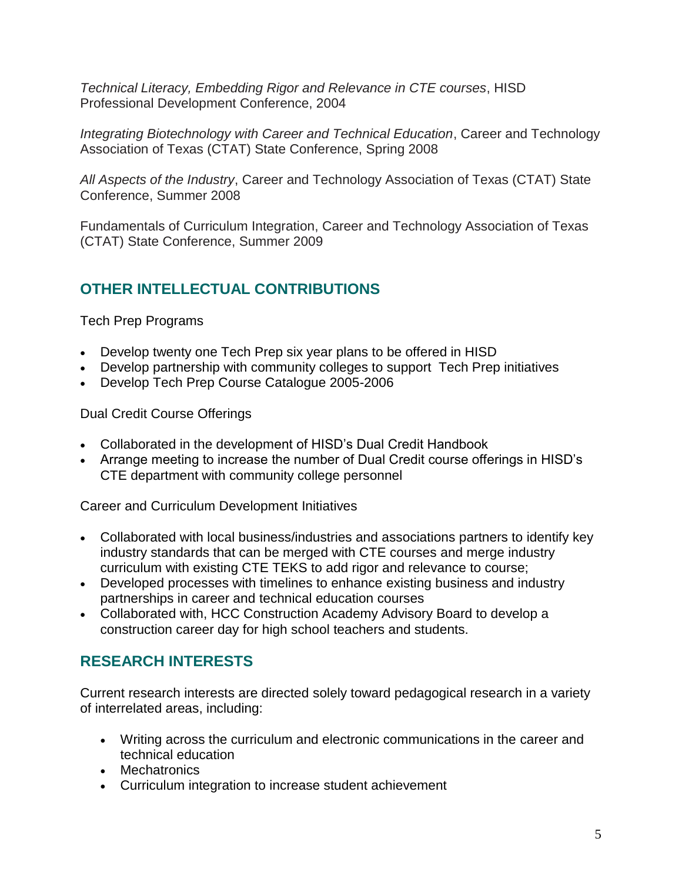*Technical Literacy, Embedding Rigor and Relevance in CTE courses*, HISD Professional Development Conference, 2004

*Integrating Biotechnology with Career and Technical Education*, Career and Technology Association of Texas (CTAT) State Conference, Spring 2008

*All Aspects of the Industry*, Career and Technology Association of Texas (CTAT) State Conference, Summer 2008

Fundamentals of Curriculum Integration, Career and Technology Association of Texas (CTAT) State Conference, Summer 2009

# **OTHER INTELLECTUAL CONTRIBUTIONS**

Tech Prep Programs

- Develop twenty one Tech Prep six year plans to be offered in HISD
- Develop partnership with community colleges to support Tech Prep initiatives
- Develop Tech Prep Course Catalogue 2005-2006

Dual Credit Course Offerings

- Collaborated in the development of HISD's Dual Credit Handbook
- Arrange meeting to increase the number of Dual Credit course offerings in HISD's CTE department with community college personnel

Career and Curriculum Development Initiatives

- Collaborated with local business/industries and associations partners to identify key industry standards that can be merged with CTE courses and merge industry curriculum with existing CTE TEKS to add rigor and relevance to course;
- Developed processes with timelines to enhance existing business and industry partnerships in career and technical education courses
- Collaborated with, HCC Construction Academy Advisory Board to develop a construction career day for high school teachers and students.

# **RESEARCH INTERESTS**

Current research interests are directed solely toward pedagogical research in a variety of interrelated areas, including:

- Writing across the curriculum and electronic communications in the career and technical education
- Mechatronics
- Curriculum integration to increase student achievement